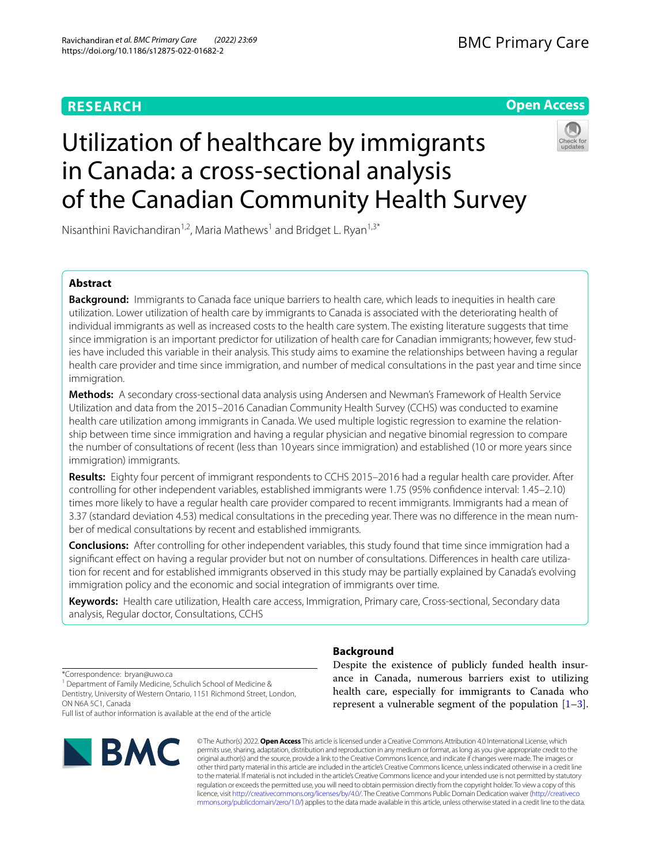# **RESEARCH**

# **Open Access**

# Utilization of healthcare by immigrants in Canada: a cross-sectional analysis of the Canadian Community Health Survey



Nisanthini Ravichandiran<sup>1,2</sup>, Maria Mathews<sup>1</sup> and Bridget L. Ryan<sup>1,3\*</sup>

# **Abstract**

**Background:** Immigrants to Canada face unique barriers to health care, which leads to inequities in health care utilization. Lower utilization of health care by immigrants to Canada is associated with the deteriorating health of individual immigrants as well as increased costs to the health care system. The existing literature suggests that time since immigration is an important predictor for utilization of health care for Canadian immigrants; however, few studies have included this variable in their analysis. This study aims to examine the relationships between having a regular health care provider and time since immigration, and number of medical consultations in the past year and time since immigration.

**Methods:** A secondary cross-sectional data analysis using Andersen and Newman's Framework of Health Service Utilization and data from the 2015–2016 Canadian Community Health Survey (CCHS) was conducted to examine health care utilization among immigrants in Canada. We used multiple logistic regression to examine the relationship between time since immigration and having a regular physician and negative binomial regression to compare the number of consultations of recent (less than 10 years since immigration) and established (10 or more years since immigration) immigrants.

**Results:** Eighty four percent of immigrant respondents to CCHS 2015–2016 had a regular health care provider. After controlling for other independent variables, established immigrants were 1.75 (95% confdence interval: 1.45–2.10) times more likely to have a regular health care provider compared to recent immigrants. Immigrants had a mean of 3.37 (standard deviation 4.53) medical consultations in the preceding year. There was no diference in the mean number of medical consultations by recent and established immigrants.

**Conclusions:** After controlling for other independent variables, this study found that time since immigration had a signifcant efect on having a regular provider but not on number of consultations. Diferences in health care utilization for recent and for established immigrants observed in this study may be partially explained by Canada's evolving immigration policy and the economic and social integration of immigrants over time.

**Keywords:** Health care utilization, Health care access, Immigration, Primary care, Cross-sectional, Secondary data analysis, Regular doctor, Consultations, CCHS

\*Correspondence: bryan@uwo.ca

<sup>1</sup> Department of Family Medicine, Schulich School of Medicine & Dentistry, University of Western Ontario, 1151 Richmond Street, London, ON N6A 5C1, Canada

Full list of author information is available at the end of the article



## **Background**

Despite the existence of publicly funded health insurance in Canada, numerous barriers exist to utilizing health care, especially for immigrants to Canada who represent a vulnerable segment of the population  $[1-3]$  $[1-3]$ .

© The Author(s) 2022. **Open Access** This article is licensed under a Creative Commons Attribution 4.0 International License, which permits use, sharing, adaptation, distribution and reproduction in any medium or format, as long as you give appropriate credit to the original author(s) and the source, provide a link to the Creative Commons licence, and indicate if changes were made. The images or other third party material in this article are included in the article's Creative Commons licence, unless indicated otherwise in a credit line to the material. If material is not included in the article's Creative Commons licence and your intended use is not permitted by statutory regulation or exceeds the permitted use, you will need to obtain permission directly from the copyright holder. To view a copy of this licence, visit [http://creativecommons.org/licenses/by/4.0/.](http://creativecommons.org/licenses/by/4.0/) The Creative Commons Public Domain Dedication waiver ([http://creativeco](http://creativecommons.org/publicdomain/zero/1.0/) [mmons.org/publicdomain/zero/1.0/](http://creativecommons.org/publicdomain/zero/1.0/)) applies to the data made available in this article, unless otherwise stated in a credit line to the data.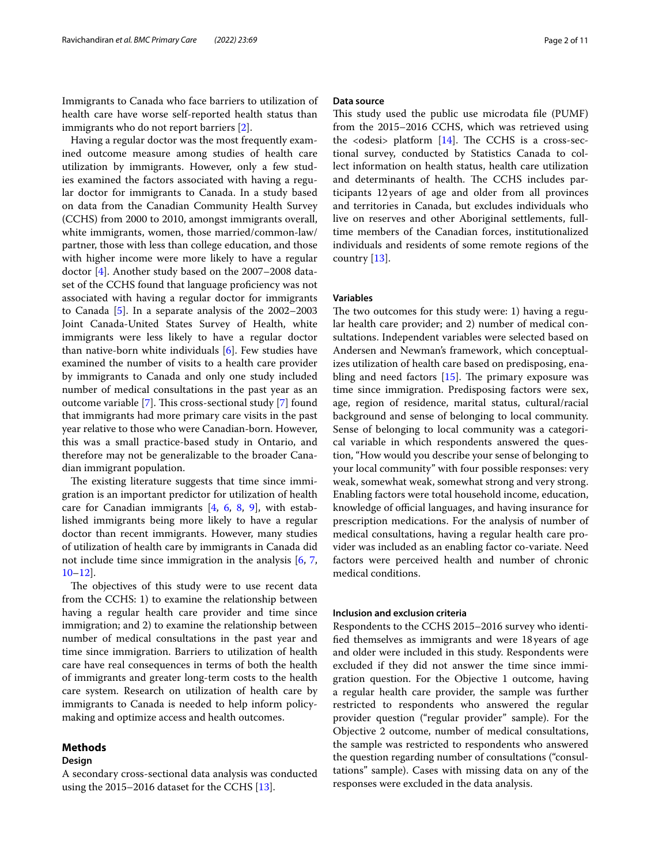Immigrants to Canada who face barriers to utilization of health care have worse self-reported health status than immigrants who do not report barriers [[2\]](#page-9-2).

Having a regular doctor was the most frequently examined outcome measure among studies of health care utilization by immigrants. However, only a few studies examined the factors associated with having a regular doctor for immigrants to Canada. In a study based on data from the Canadian Community Health Survey (CCHS) from 2000 to 2010, amongst immigrants overall, white immigrants, women, those married/common-law/ partner, those with less than college education, and those with higher income were more likely to have a regular doctor [[4\]](#page-9-3). Another study based on the 2007–2008 dataset of the CCHS found that language profciency was not associated with having a regular doctor for immigrants to Canada [\[5](#page-9-4)]. In a separate analysis of the 2002–2003 Joint Canada-United States Survey of Health, white immigrants were less likely to have a regular doctor than native-born white individuals [[6\]](#page-9-5). Few studies have examined the number of visits to a health care provider by immigrants to Canada and only one study included number of medical consultations in the past year as an outcome variable  $[7]$  $[7]$  $[7]$ . This cross-sectional study  $[7]$  found that immigrants had more primary care visits in the past year relative to those who were Canadian-born. However, this was a small practice-based study in Ontario, and therefore may not be generalizable to the broader Canadian immigrant population.

The existing literature suggests that time since immigration is an important predictor for utilization of health care for Canadian immigrants  $[4, 6, 8, 9]$  $[4, 6, 8, 9]$  $[4, 6, 8, 9]$  $[4, 6, 8, 9]$  $[4, 6, 8, 9]$  $[4, 6, 8, 9]$  $[4, 6, 8, 9]$  $[4, 6, 8, 9]$ , with established immigrants being more likely to have a regular doctor than recent immigrants. However, many studies of utilization of health care by immigrants in Canada did not include time since immigration in the analysis [[6,](#page-9-5) [7](#page-9-6), [10–](#page-10-1)[12](#page-10-2)].

The objectives of this study were to use recent data from the CCHS: 1) to examine the relationship between having a regular health care provider and time since immigration; and 2) to examine the relationship between number of medical consultations in the past year and time since immigration. Barriers to utilization of health care have real consequences in terms of both the health of immigrants and greater long-term costs to the health care system. Research on utilization of health care by immigrants to Canada is needed to help inform policymaking and optimize access and health outcomes.

## **Methods**

#### **Design**

A secondary cross-sectional data analysis was conducted using the 2015–2016 dataset for the CCHS [[13\]](#page-10-3).

#### **Data source**

This study used the public use microdata file (PUMF) from the 2015–2016 CCHS, which was retrieved using the  $\leq$  odesi  $\geq$  platform [\[14\]](#page-10-4). The CCHS is a cross-sectional survey, conducted by Statistics Canada to collect information on health status, health care utilization and determinants of health. The CCHS includes participants 12years of age and older from all provinces and territories in Canada, but excludes individuals who live on reserves and other Aboriginal settlements, fulltime members of the Canadian forces, institutionalized individuals and residents of some remote regions of the country [\[13](#page-10-3)].

#### **Variables**

The two outcomes for this study were: 1) having a regular health care provider; and 2) number of medical consultations. Independent variables were selected based on Andersen and Newman's framework, which conceptualizes utilization of health care based on predisposing, enabling and need factors  $[15]$  $[15]$ . The primary exposure was time since immigration. Predisposing factors were sex, age, region of residence, marital status, cultural/racial background and sense of belonging to local community. Sense of belonging to local community was a categorical variable in which respondents answered the question, "How would you describe your sense of belonging to your local community" with four possible responses: very weak, somewhat weak, somewhat strong and very strong. Enabling factors were total household income, education, knowledge of official languages, and having insurance for prescription medications. For the analysis of number of medical consultations, having a regular health care provider was included as an enabling factor co-variate. Need factors were perceived health and number of chronic medical conditions.

## **Inclusion and exclusion criteria**

Respondents to the CCHS 2015–2016 survey who identifed themselves as immigrants and were 18years of age and older were included in this study. Respondents were excluded if they did not answer the time since immigration question. For the Objective 1 outcome, having a regular health care provider, the sample was further restricted to respondents who answered the regular provider question ("regular provider" sample). For the Objective 2 outcome, number of medical consultations, the sample was restricted to respondents who answered the question regarding number of consultations ("consultations" sample). Cases with missing data on any of the responses were excluded in the data analysis.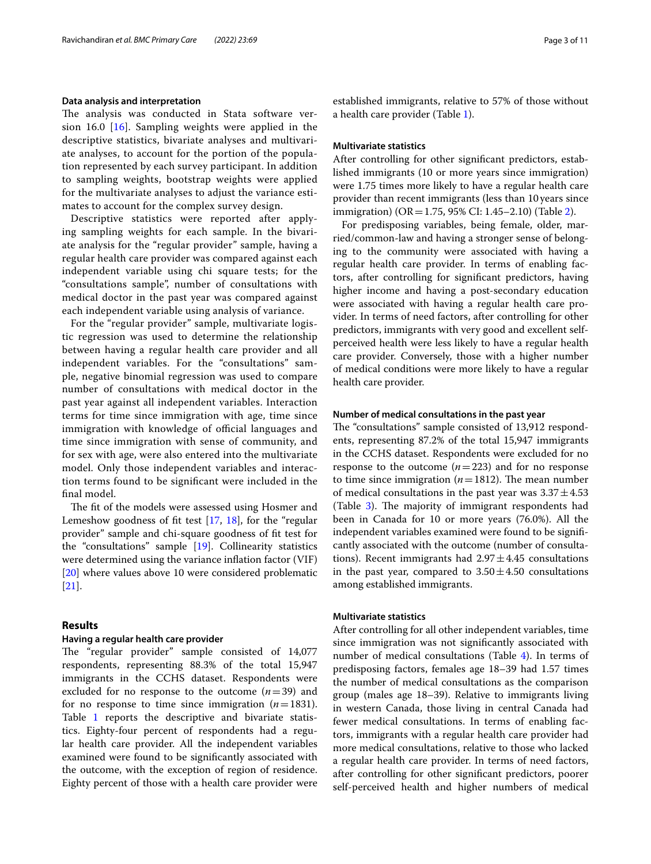#### **Data analysis and interpretation**

The analysis was conducted in Stata software version 16.0 [[16](#page-10-6)]. Sampling weights were applied in the descriptive statistics, bivariate analyses and multivariate analyses, to account for the portion of the population represented by each survey participant. In addition to sampling weights, bootstrap weights were applied for the multivariate analyses to adjust the variance estimates to account for the complex survey design.

Descriptive statistics were reported after applying sampling weights for each sample. In the bivariate analysis for the "regular provider" sample, having a regular health care provider was compared against each independent variable using chi square tests; for the "consultations sample", number of consultations with medical doctor in the past year was compared against each independent variable using analysis of variance.

For the "regular provider" sample, multivariate logistic regression was used to determine the relationship between having a regular health care provider and all independent variables. For the "consultations" sample, negative binomial regression was used to compare number of consultations with medical doctor in the past year against all independent variables. Interaction terms for time since immigration with age, time since immigration with knowledge of official languages and time since immigration with sense of community, and for sex with age, were also entered into the multivariate model. Only those independent variables and interaction terms found to be signifcant were included in the fnal model.

The fit of the models were assessed using Hosmer and Lemeshow goodness of fit test  $[17, 18]$  $[17, 18]$  $[17, 18]$ , for the "regular provider" sample and chi-square goodness of ft test for the "consultations" sample [\[19\]](#page-10-9). Collinearity statistics were determined using the variance infation factor (VIF) [[20\]](#page-10-10) where values above 10 were considered problematic [[21\]](#page-10-11).

## **Results**

#### **Having a regular health care provider**

The "regular provider" sample consisted of 14,077 respondents, representing 88.3% of the total 15,947 immigrants in the CCHS dataset. Respondents were excluded for no response to the outcome (*n*=39) and for no response to time since immigration  $(n=1831)$ . Table [1](#page-3-0) reports the descriptive and bivariate statistics. Eighty-four percent of respondents had a regular health care provider. All the independent variables examined were found to be signifcantly associated with the outcome, with the exception of region of residence. Eighty percent of those with a health care provider were established immigrants, relative to 57% of those without a health care provider (Table [1\)](#page-3-0).

#### **Multivariate statistics**

After controlling for other signifcant predictors, established immigrants (10 or more years since immigration) were 1.75 times more likely to have a regular health care provider than recent immigrants (less than 10years since immigration) ( $OR = 1.75$ , 95% CI: 1.45–2.10) (Table [2\)](#page-5-0).

For predisposing variables, being female, older, married/common-law and having a stronger sense of belonging to the community were associated with having a regular health care provider. In terms of enabling factors, after controlling for signifcant predictors, having higher income and having a post-secondary education were associated with having a regular health care provider. In terms of need factors, after controlling for other predictors, immigrants with very good and excellent selfperceived health were less likely to have a regular health care provider. Conversely, those with a higher number of medical conditions were more likely to have a regular health care provider.

#### **Number of medical consultations in the past year**

The "consultations" sample consisted of 13,912 respondents, representing 87.2% of the total 15,947 immigrants in the CCHS dataset. Respondents were excluded for no response to the outcome  $(n=223)$  and for no response to time since immigration  $(n=1812)$ . The mean number of medical consultations in the past year was  $3.37 \pm 4.53$ (Table [3\)](#page-6-0). The majority of immigrant respondents had been in Canada for 10 or more years (76.0%). All the independent variables examined were found to be signifcantly associated with the outcome (number of consultations). Recent immigrants had  $2.97 \pm 4.45$  consultations in the past year, compared to  $3.50 \pm 4.50$  consultations among established immigrants.

## **Multivariate statistics**

After controlling for all other independent variables, time since immigration was not signifcantly associated with number of medical consultations (Table [4](#page-7-0)). In terms of predisposing factors, females age 18–39 had 1.57 times the number of medical consultations as the comparison group (males age 18–39). Relative to immigrants living in western Canada, those living in central Canada had fewer medical consultations. In terms of enabling factors, immigrants with a regular health care provider had more medical consultations, relative to those who lacked a regular health care provider. In terms of need factors, after controlling for other signifcant predictors, poorer self-perceived health and higher numbers of medical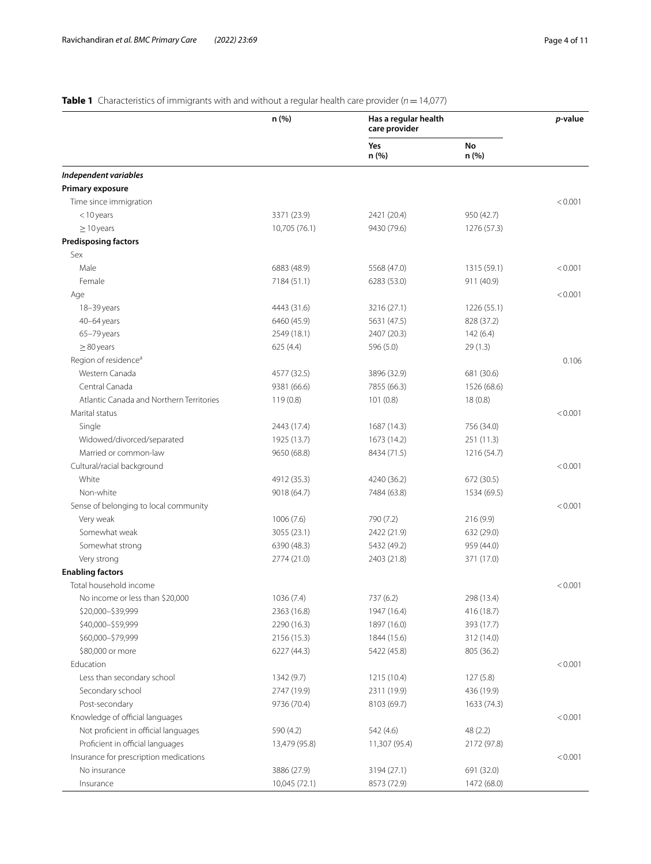# <span id="page-3-0"></span>**Table 1** Characteristics of immigrants with and without a regular health care provider (*n* = 14,077)

|                                          | n (%)         | Has a regular health<br>care provider |             | p-value |
|------------------------------------------|---------------|---------------------------------------|-------------|---------|
|                                          |               | Yes<br>n (%)                          | No<br>n (%) |         |
| Independent variables                    |               |                                       |             |         |
| Primary exposure                         |               |                                       |             |         |
| Time since immigration                   |               |                                       |             | < 0.001 |
| $<$ 10 years                             | 3371 (23.9)   | 2421 (20.4)                           | 950 (42.7)  |         |
| $\geq$ 10 years                          | 10,705 (76.1) | 9430 (79.6)                           | 1276 (57.3) |         |
| <b>Predisposing factors</b>              |               |                                       |             |         |
| Sex                                      |               |                                       |             |         |
| Male                                     | 6883 (48.9)   | 5568 (47.0)                           | 1315 (59.1) | < 0.001 |
| Female                                   | 7184 (51.1)   | 6283 (53.0)                           | 911 (40.9)  |         |
| Age                                      |               |                                       |             | < 0.001 |
| 18-39 years                              | 4443 (31.6)   | 3216 (27.1)                           | 1226 (55.1) |         |
| 40-64 years                              | 6460 (45.9)   | 5631 (47.5)                           | 828 (37.2)  |         |
| 65-79 years                              | 2549 (18.1)   | 2407 (20.3)                           | 142(6.4)    |         |
| $\geq$ 80 years                          | 625 (4.4)     | 596 (5.0)                             | 29 (1.3)    |         |
| Region of residence <sup>a</sup>         |               |                                       |             | 0.106   |
| Western Canada                           | 4577 (32.5)   | 3896 (32.9)                           | 681 (30.6)  |         |
| Central Canada                           | 9381 (66.6)   | 7855 (66.3)                           | 1526 (68.6) |         |
| Atlantic Canada and Northern Territories | 119(0.8)      | 101(0.8)                              | 18(0.8)     |         |
| Marital status                           |               |                                       |             | < 0.001 |
| Single                                   | 2443 (17.4)   | 1687 (14.3)                           | 756 (34.0)  |         |
| Widowed/divorced/separated               | 1925 (13.7)   | 1673 (14.2)                           | 251(11.3)   |         |
| Married or common-law                    | 9650 (68.8)   | 8434 (71.5)                           | 1216 (54.7) |         |
| Cultural/racial background               |               |                                       |             | < 0.001 |
| White                                    | 4912 (35.3)   | 4240 (36.2)                           | 672 (30.5)  |         |
| Non-white                                | 9018 (64.7)   | 7484 (63.8)                           | 1534 (69.5) |         |
| Sense of belonging to local community    |               |                                       |             | < 0.001 |
| Very weak                                | 1006(7.6)     | 790 (7.2)                             | 216 (9.9)   |         |
| Somewhat weak                            | 3055 (23.1)   | 2422 (21.9)                           | 632 (29.0)  |         |
| Somewhat strong                          | 6390 (48.3)   | 5432 (49.2)                           | 959 (44.0)  |         |
| Very strong                              | 2774 (21.0)   | 2403 (21.8)                           | 371 (17.0)  |         |
| <b>Enabling factors</b>                  |               |                                       |             |         |
| Total household income                   |               |                                       |             | < 0.001 |
| No income or less than \$20,000          | 1036 (7.4)    | 737 (6.2)                             | 298 (13.4)  |         |
| \$20,000-\$39,999                        | 2363 (16.8)   | 1947 (16.4)                           | 416 (18.7)  |         |
| \$40,000-\$59,999                        | 2290 (16.3)   | 1897 (16.0)                           | 393 (17.7)  |         |
| \$60,000-\$79,999                        | 2156 (15.3)   | 1844 (15.6)                           | 312 (14.0)  |         |
| \$80,000 or more                         | 6227 (44.3)   | 5422 (45.8)                           | 805 (36.2)  |         |
| Education                                |               |                                       |             | < 0.001 |
| Less than secondary school               | 1342 (9.7)    | 1215 (10.4)                           | 127(5.8)    |         |
| Secondary school                         | 2747 (19.9)   | 2311 (19.9)                           | 436 (19.9)  |         |
| Post-secondary                           | 9736 (70.4)   | 8103 (69.7)                           | 1633 (74.3) |         |
| Knowledge of official languages          |               |                                       |             | < 0.001 |
| Not proficient in official languages     | 590 (4.2)     | 542 (4.6)                             | 48 (2.2)    |         |
| Proficient in official languages         | 13,479 (95.8) | 11,307 (95.4)                         | 2172 (97.8) |         |
| Insurance for prescription medications   |               |                                       |             | < 0.001 |
| No insurance                             | 3886 (27.9)   | 3194 (27.1)                           | 691 (32.0)  |         |
| Insurance                                | 10,045 (72.1) | 8573 (72.9)                           | 1472 (68.0) |         |
|                                          |               |                                       |             |         |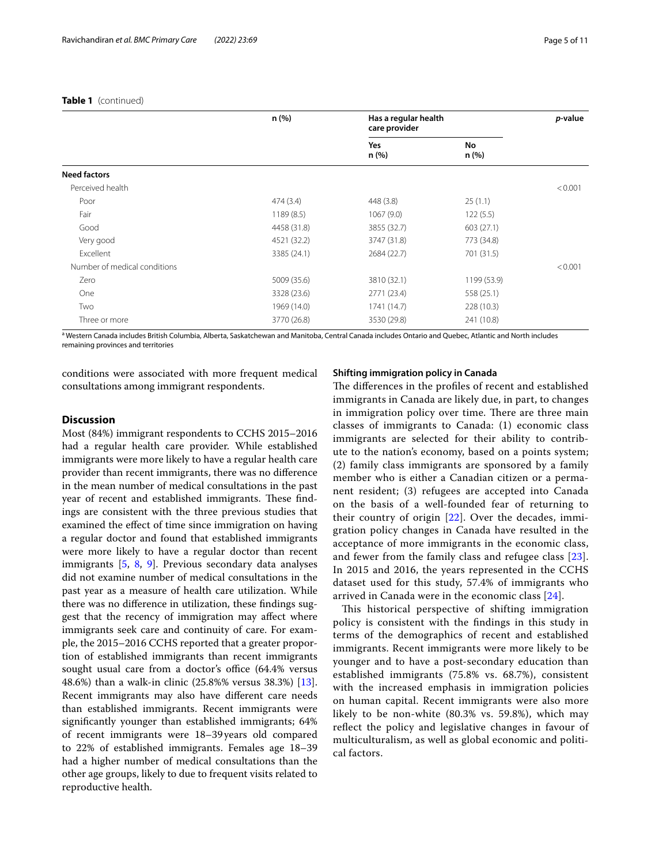### **Table 1** (continued)

|                              | n (%)       | Has a regular health<br>care provider |             | <i>p</i> -value |
|------------------------------|-------------|---------------------------------------|-------------|-----------------|
|                              |             | Yes<br>n (%)                          | No<br>n(%)  |                 |
| <b>Need factors</b>          |             |                                       |             |                 |
| Perceived health             |             |                                       |             | < 0.001         |
| Poor                         | 474(3.4)    | 448 (3.8)                             | 25(1.1)     |                 |
| Fair                         | 1189 (8.5)  | 1067 (9.0)                            | 122(5.5)    |                 |
| Good                         | 4458 (31.8) | 3855 (32.7)                           | 603(27.1)   |                 |
| Very good                    | 4521 (32.2) | 3747 (31.8)                           | 773 (34.8)  |                 |
| Excellent                    | 3385 (24.1) | 2684 (22.7)                           | 701 (31.5)  |                 |
| Number of medical conditions |             |                                       |             | < 0.001         |
| Zero                         | 5009 (35.6) | 3810 (32.1)                           | 1199 (53.9) |                 |
| One                          | 3328 (23.6) | 2771 (23.4)                           | 558 (25.1)  |                 |
| Two                          | 1969 (14.0) | 1741 (14.7)                           | 228 (10.3)  |                 |
| Three or more                | 3770 (26.8) | 3530 (29.8)                           | 241 (10.8)  |                 |

<sup>a</sup> Western Canada includes British Columbia, Alberta, Saskatchewan and Manitoba, Central Canada includes Ontario and Quebec, Atlantic and North includes remaining provinces and territories

conditions were associated with more frequent medical consultations among immigrant respondents.

# **Discussion**

Most (84%) immigrant respondents to CCHS 2015–2016 had a regular health care provider. While established immigrants were more likely to have a regular health care provider than recent immigrants, there was no diference in the mean number of medical consultations in the past year of recent and established immigrants. These findings are consistent with the three previous studies that examined the efect of time since immigration on having a regular doctor and found that established immigrants were more likely to have a regular doctor than recent immigrants [[5](#page-9-4), [8,](#page-9-7) [9](#page-10-0)]. Previous secondary data analyses did not examine number of medical consultations in the past year as a measure of health care utilization. While there was no diference in utilization, these fndings suggest that the recency of immigration may afect where immigrants seek care and continuity of care. For example, the 2015–2016 CCHS reported that a greater proportion of established immigrants than recent immigrants sought usual care from a doctor's office (64.4% versus 48.6%) than a walk-in clinic (25.8%% versus 38.3%) [\[13](#page-10-3)]. Recent immigrants may also have diferent care needs than established immigrants. Recent immigrants were signifcantly younger than established immigrants; 64% of recent immigrants were 18–39years old compared to 22% of established immigrants. Females age 18–39 had a higher number of medical consultations than the other age groups, likely to due to frequent visits related to reproductive health.

### **Shifting immigration policy in Canada**

The differences in the profiles of recent and established immigrants in Canada are likely due, in part, to changes in immigration policy over time. There are three main classes of immigrants to Canada: (1) economic class immigrants are selected for their ability to contribute to the nation's economy, based on a points system; (2) family class immigrants are sponsored by a family member who is either a Canadian citizen or a permanent resident; (3) refugees are accepted into Canada on the basis of a well-founded fear of returning to their country of origin [[22\]](#page-10-12). Over the decades, immigration policy changes in Canada have resulted in the acceptance of more immigrants in the economic class, and fewer from the family class and refugee class [[23](#page-10-13)]. In 2015 and 2016, the years represented in the CCHS dataset used for this study, 57.4% of immigrants who arrived in Canada were in the economic class [[24\]](#page-10-14).

This historical perspective of shifting immigration policy is consistent with the fndings in this study in terms of the demographics of recent and established immigrants. Recent immigrants were more likely to be younger and to have a post-secondary education than established immigrants (75.8% vs. 68.7%), consistent with the increased emphasis in immigration policies on human capital. Recent immigrants were also more likely to be non-white (80.3% vs. 59.8%), which may refect the policy and legislative changes in favour of multiculturalism, as well as global economic and political factors.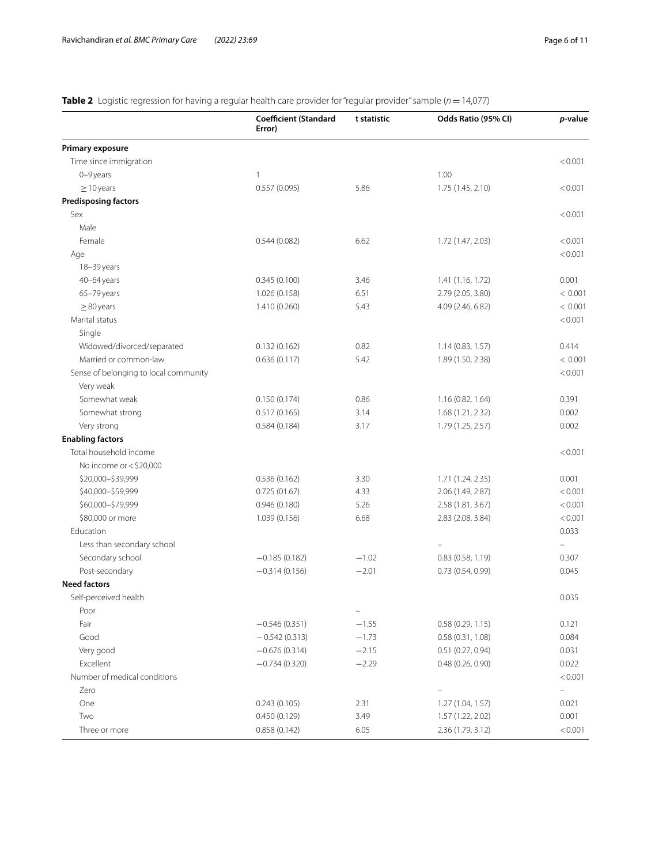# <span id="page-5-0"></span>**Table 2** Logistic regression for having a regular health care provider for "regular provider" sample (*n* = 14,077)

|                                       | <b>Coefficient (Standard</b><br>Error) | t statistic              | Odds Ratio (95% CI)                  | p-value        |
|---------------------------------------|----------------------------------------|--------------------------|--------------------------------------|----------------|
| Primary exposure                      |                                        |                          |                                      |                |
| Time since immigration                |                                        |                          |                                      | < 0.001        |
| 0-9 years                             | 1                                      |                          | 1.00                                 |                |
| $\geq$ 10 years                       | 0.557(0.095)                           | 5.86                     | 1.75 (1.45, 2.10)                    | < 0.001        |
| <b>Predisposing factors</b>           |                                        |                          |                                      |                |
| Sex                                   |                                        |                          |                                      | < 0.001        |
| Male                                  |                                        |                          |                                      |                |
| Female                                | 0.544(0.082)                           | 6.62                     | 1.72 (1.47, 2.03)                    | < 0.001        |
| Age                                   |                                        |                          |                                      | < 0.001        |
| 18-39 years                           |                                        |                          |                                      |                |
| 40-64 years                           | 0.345(0.100)                           | 3.46                     | 1.41 (1.16, 1.72)                    | 0.001          |
| 65-79 years                           | 1.026 (0.158)                          | 6.51                     | 2.79 (2.05, 3.80)                    | < 0.001        |
| $\geq$ 80 years                       | 1.410 (0.260)                          | 5.43                     | 4.09 (2.46, 6.82)                    | < 0.001        |
| Marital status                        |                                        |                          |                                      | < 0.001        |
| Single                                |                                        |                          |                                      |                |
| Widowed/divorced/separated            | 0.132(0.162)                           | 0.82                     | 1.14 (0.83, 1.57)                    | 0.414          |
| Married or common-law                 | 0.636(0.117)                           | 5.42                     | 1.89 (1.50, 2.38)                    | < 0.001        |
| Sense of belonging to local community |                                        |                          |                                      | < 0.001        |
| Very weak                             |                                        |                          |                                      |                |
| Somewhat weak                         | 0.150(0.174)                           | 0.86                     | 1.16 (0.82, 1.64)                    | 0.391          |
| Somewhat strong                       | 0.517(0.165)                           | 3.14                     | 1.68 (1.21, 2.32)                    | 0.002          |
| Very strong                           | 0.584(0.184)                           | 3.17                     | 1.79 (1.25, 2.57)                    | 0.002          |
| <b>Enabling factors</b>               |                                        |                          |                                      |                |
| Total household income                |                                        |                          |                                      | < 0.001        |
| No income or < \$20,000               |                                        |                          |                                      |                |
| \$20,000-\$39,999                     | 0.536(0.162)                           | 3.30                     | 1.71 (1.24, 2.35)                    | 0.001          |
| \$40,000-\$59,999                     | 0.725(01.67)                           | 4.33                     | 2.06 (1.49, 2.87)                    | < 0.001        |
| \$60,000-\$79,999                     | 0.946(0.180)                           | 5.26                     | 2.58 (1.81, 3.67)                    | < 0.001        |
| \$80,000 or more                      | 1.039 (0.156)                          | 6.68                     | 2.83 (2.08, 3.84)                    | < 0.001        |
| Education                             |                                        |                          |                                      | 0.033          |
| Less than secondary school            |                                        |                          |                                      |                |
| Secondary school                      | $-0.185(0.182)$                        | $-1.02$                  | 0.83(0.58, 1.19)                     | 0.307          |
| Post-secondary                        | $-0.314(0.156)$                        | $-2.01$                  | 0.73 (0.54, 0.99)                    | 0.045          |
| <b>Need factors</b>                   |                                        |                          |                                      |                |
| Self-perceived health                 |                                        |                          |                                      | 0.035          |
| Poor                                  |                                        | $\overline{\phantom{0}}$ |                                      |                |
| Fair<br>Good                          | $-0.546(0.351)$                        | $-1.55$                  | 0.58(0.29, 1.15)                     | 0.121          |
|                                       | $-0.542(0.313)$                        | $-1.73$                  | 0.58(0.31, 1.08)                     | 0.084          |
| Very good<br>Excellent                | $-0.676(0.314)$<br>$-0.734(0.320)$     | $-2.15$<br>$-2.29$       | 0.51(0.27, 0.94)<br>0.48(0.26, 0.90) | 0.031<br>0.022 |
| Number of medical conditions          |                                        |                          |                                      | < 0.001        |
| Zero                                  |                                        |                          | $\equiv$                             | $\equiv$       |
| One                                   | 0.243(0.105)                           | 2.31                     | 1.27 (1.04, 1.57)                    | 0.021          |
| Two                                   | 0.450(0.129)                           | 3.49                     | 1.57 (1.22, 2.02)                    | 0.001          |
| Three or more                         | 0.858(0.142)                           |                          |                                      | < 0.001        |
|                                       |                                        | 6.05                     | 2.36 (1.79, 3.12)                    |                |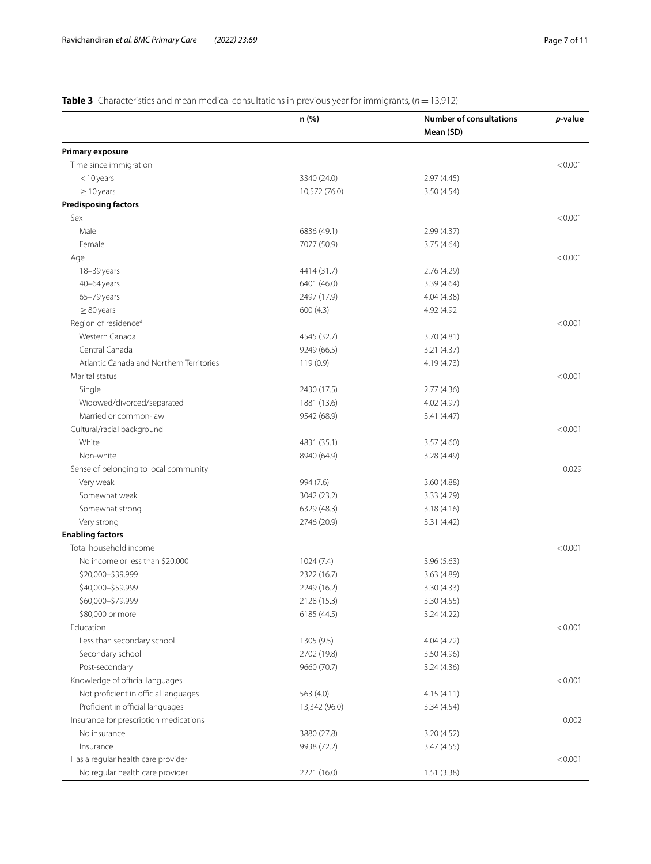<span id="page-6-0"></span>**Table 3** Characteristics and mean medical consultations in previous year for immigrants, (*n*=13,912)

|                                          | n (%)         | <b>Number of consultations</b> | p-value |
|------------------------------------------|---------------|--------------------------------|---------|
|                                          |               | Mean (SD)                      |         |
| Primary exposure                         |               |                                |         |
| Time since immigration                   |               |                                | < 0.001 |
| $<$ 10 years                             | 3340 (24.0)   | 2.97(4.45)                     |         |
| $\geq$ 10 years                          | 10,572 (76.0) | 3.50 (4.54)                    |         |
| <b>Predisposing factors</b>              |               |                                |         |
| Sex                                      |               |                                | < 0.001 |
| Male                                     | 6836 (49.1)   | 2.99(4.37)                     |         |
| Female                                   | 7077 (50.9)   | 3.75 (4.64)                    |         |
| Age                                      |               |                                | < 0.001 |
| 18-39 years                              | 4414 (31.7)   | 2.76 (4.29)                    |         |
| 40-64 years                              | 6401 (46.0)   | 3.39 (4.64)                    |         |
| 65-79 years                              | 2497 (17.9)   | 4.04 (4.38)                    |         |
| $\geq$ 80 years                          | 600(4.3)      | 4.92 (4.92)                    |         |
| Region of residence <sup>a</sup>         |               |                                | < 0.001 |
| Western Canada                           | 4545 (32.7)   | 3.70 (4.81)                    |         |
| Central Canada                           | 9249 (66.5)   | 3.21 (4.37)                    |         |
| Atlantic Canada and Northern Territories | 119(0.9)      | 4.19 (4.73)                    |         |
| Marital status                           |               |                                | < 0.001 |
| Single                                   | 2430 (17.5)   | 2.77(4.36)                     |         |
| Widowed/divorced/separated               | 1881 (13.6)   | 4.02 (4.97)                    |         |
| Married or common-law                    | 9542 (68.9)   | 3.41 (4.47)                    |         |
| Cultural/racial background               |               |                                | < 0.001 |
| White                                    | 4831 (35.1)   | 3.57 (4.60)                    |         |
| Non-white                                | 8940 (64.9)   | 3.28 (4.49)                    |         |
| Sense of belonging to local community    |               |                                | 0.029   |
| Very weak                                | 994 (7.6)     | 3.60 (4.88)                    |         |
| Somewhat weak                            | 3042 (23.2)   | 3.33 (4.79)                    |         |
|                                          |               |                                |         |
| Somewhat strong                          | 6329 (48.3)   | 3.18(4.16)                     |         |
| Very strong                              | 2746 (20.9)   | 3.31(4.42)                     |         |
| <b>Enabling factors</b>                  |               |                                |         |
| Total household income                   |               |                                | < 0.001 |
| No income or less than \$20,000          | 1024(7.4)     | 3.96 (5.63)                    |         |
| \$20,000-\$39,999                        | 2322 (16.7)   | 3.63 (4.89)                    |         |
| \$40,000-\$59,999                        | 2249 (16.2)   | 3.30 (4.33)                    |         |
| \$60,000-\$79,999                        | 2128 (15.3)   | 3.30 (4.55)                    |         |
| \$80,000 or more                         | 6185 (44.5)   | 3.24(4.22)                     |         |
| Education                                |               |                                | < 0.001 |
| Less than secondary school               | 1305(9.5)     | 4.04 (4.72)                    |         |
| Secondary school                         | 2702 (19.8)   | 3.50 (4.96)                    |         |
| Post-secondary                           | 9660 (70.7)   | 3.24(4.36)                     |         |
| Knowledge of official languages          |               |                                | < 0.001 |
| Not proficient in official languages     | 563 (4.0)     | 4.15(4.11)                     |         |
| Proficient in official languages         | 13,342 (96.0) | 3.34(4.54)                     |         |
| Insurance for prescription medications   |               |                                | 0.002   |
| No insurance                             | 3880 (27.8)   | 3.20 (4.52)                    |         |
| Insurance                                | 9938 (72.2)   | 3.47 (4.55)                    |         |
| Has a regular health care provider       |               |                                | < 0.001 |
| No regular health care provider          | 2221 (16.0)   | 1.51(3.38)                     |         |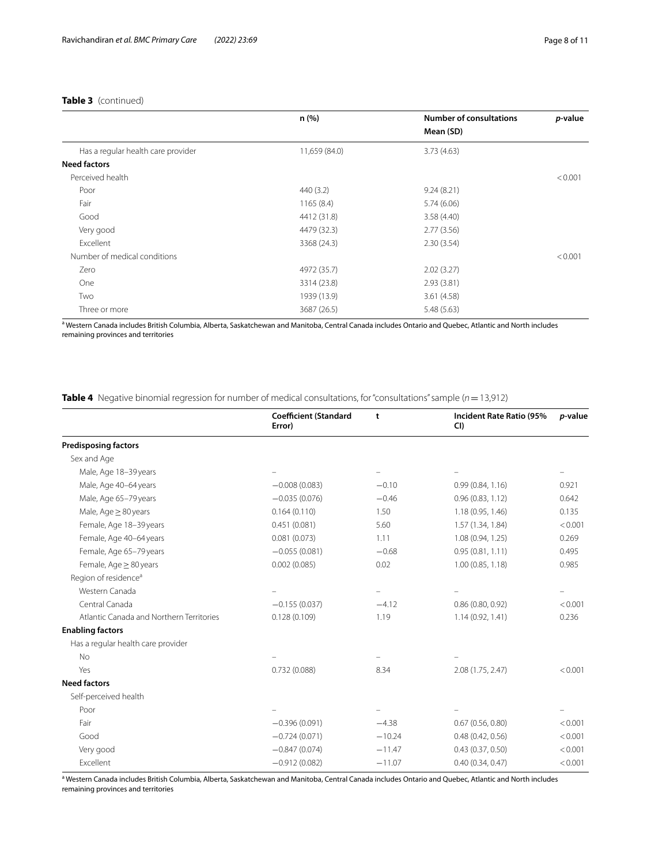|                                    | n (%)         | <b>Number of consultations</b> | <i>p</i> -value |
|------------------------------------|---------------|--------------------------------|-----------------|
|                                    |               | Mean (SD)                      |                 |
| Has a regular health care provider | 11,659 (84.0) | 3.73(4.63)                     |                 |
| <b>Need factors</b>                |               |                                |                 |
| Perceived health                   |               |                                | < 0.001         |
| Poor                               | 440(3.2)      | 9.24(8.21)                     |                 |
| Fair                               | 1165(8.4)     | 5.74(6.06)                     |                 |
| Good                               | 4412 (31.8)   | 3.58(4.40)                     |                 |
| Very good                          | 4479 (32.3)   | 2.77(3.56)                     |                 |
| Excellent                          | 3368 (24.3)   | 2.30(3.54)                     |                 |
| Number of medical conditions       |               |                                | < 0.001         |
| Zero                               | 4972 (35.7)   | 2.02(3.27)                     |                 |
| One                                | 3314 (23.8)   | 2.93(3.81)                     |                 |
| Two                                | 1939 (13.9)   | 3.61(4.58)                     |                 |
| Three or more                      | 3687 (26.5)   | 5.48(5.63)                     |                 |

<sup>a</sup> Western Canada includes British Columbia, Alberta, Saskatchewan and Manitoba, Central Canada includes Ontario and Quebec, Atlantic and North includes remaining provinces and territories

<span id="page-7-0"></span>**Table 4** Negative binomial regression for number of medical consultations, for "consultations" sample (*n*=13,912)

|                                          | <b>Coefficient (Standard</b><br>Error) | t        | Incident Rate Ratio (95%<br>CI) | p-value |
|------------------------------------------|----------------------------------------|----------|---------------------------------|---------|
| <b>Predisposing factors</b>              |                                        |          |                                 |         |
| Sex and Age                              |                                        |          |                                 |         |
| Male, Age 18-39 years                    |                                        |          |                                 |         |
| Male, Age 40-64 years                    | $-0.008(0.083)$                        | $-0.10$  | 0.99(0.84, 1.16)                | 0.921   |
| Male, Age 65-79 years                    | $-0.035(0.076)$                        | $-0.46$  | 0.96(0.83, 1.12)                | 0.642   |
| Male, Age $\geq$ 80 years                | 0.164(0.110)                           | 1.50     | 1.18 (0.95, 1.46)               | 0.135   |
| Female, Age 18-39 years                  | 0.451(0.081)                           | 5.60     | 1.57 (1.34, 1.84)               | < 0.001 |
| Female, Age 40-64 years                  | 0.081(0.073)                           | 1.11     | 1.08 (0.94, 1.25)               | 0.269   |
| Female, Age 65-79 years                  | $-0.055(0.081)$                        | $-0.68$  | 0.95(0.81, 1.11)                | 0.495   |
| Female, Age ≥ 80 years                   | 0.002(0.085)                           | 0.02     | 1.00(0.85, 1.18)                | 0.985   |
| Region of residence <sup>a</sup>         |                                        |          |                                 |         |
| Western Canada                           |                                        |          |                                 |         |
| Central Canada                           | $-0.155(0.037)$                        | $-4.12$  | 0.86(0.80, 0.92)                | < 0.001 |
| Atlantic Canada and Northern Territories | 0.128(0.109)                           | 1.19     | 1.14 (0.92, 1.41)               | 0.236   |
| <b>Enabling factors</b>                  |                                        |          |                                 |         |
| Has a regular health care provider       |                                        |          |                                 |         |
| <b>No</b>                                |                                        |          |                                 |         |
| Yes                                      | 0.732(0.088)                           | 8.34     | 2.08 (1.75, 2.47)               | < 0.001 |
| <b>Need factors</b>                      |                                        |          |                                 |         |
| Self-perceived health                    |                                        |          |                                 |         |
| Poor                                     |                                        |          |                                 |         |
| Fair                                     | $-0.396(0.091)$                        | $-4.38$  | 0.67(0.56, 0.80)                | < 0.001 |
| Good                                     | $-0.724(0.071)$                        | $-10.24$ | 0.48(0.42, 0.56)                | < 0.001 |
| Very good                                | $-0.847(0.074)$                        | $-11.47$ | 0.43(0.37, 0.50)                | < 0.001 |
| Excellent                                | $-0.912(0.082)$                        | $-11.07$ | 0.40(0.34, 0.47)                | < 0.001 |

<sup>a</sup> Western Canada includes British Columbia, Alberta, Saskatchewan and Manitoba, Central Canada includes Ontario and Quebec, Atlantic and North includes remaining provinces and territories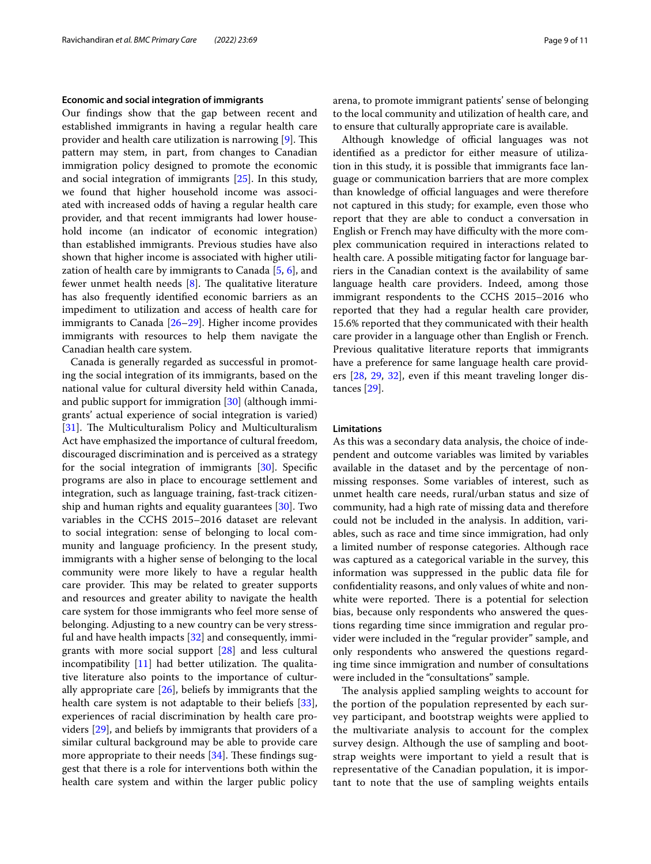#### **Economic and social integration of immigrants**

Our fndings show that the gap between recent and established immigrants in having a regular health care provider and health care utilization is narrowing [\[9](#page-10-0)]. This pattern may stem, in part, from changes to Canadian immigration policy designed to promote the economic and social integration of immigrants [[25\]](#page-10-15). In this study, we found that higher household income was associated with increased odds of having a regular health care provider, and that recent immigrants had lower household income (an indicator of economic integration) than established immigrants. Previous studies have also shown that higher income is associated with higher utilization of health care by immigrants to Canada [[5,](#page-9-4) [6](#page-9-5)], and fewer unmet health needs  $[8]$  $[8]$ . The qualitative literature has also frequently identifed economic barriers as an impediment to utilization and access of health care for immigrants to Canada [\[26–](#page-10-16)[29\]](#page-10-17). Higher income provides immigrants with resources to help them navigate the Canadian health care system.

Canada is generally regarded as successful in promoting the social integration of its immigrants, based on the national value for cultural diversity held within Canada, and public support for immigration [[30\]](#page-10-18) (although immigrants' actual experience of social integration is varied) [[31\]](#page-10-19). The Multiculturalism Policy and Multiculturalism Act have emphasized the importance of cultural freedom, discouraged discrimination and is perceived as a strategy for the social integration of immigrants [\[30](#page-10-18)]. Specifc programs are also in place to encourage settlement and integration, such as language training, fast-track citizenship and human rights and equality guarantees [[30\]](#page-10-18). Two variables in the CCHS 2015–2016 dataset are relevant to social integration: sense of belonging to local community and language proficiency. In the present study, immigrants with a higher sense of belonging to the local community were more likely to have a regular health care provider. This may be related to greater supports and resources and greater ability to navigate the health care system for those immigrants who feel more sense of belonging. Adjusting to a new country can be very stressful and have health impacts [\[32](#page-10-20)] and consequently, immigrants with more social support [[28\]](#page-10-21) and less cultural incompatibility  $[11]$  had better utilization. The qualitative literature also points to the importance of culturally appropriate care [[26\]](#page-10-16), beliefs by immigrants that the health care system is not adaptable to their beliefs [\[33](#page-10-23)], experiences of racial discrimination by health care providers [\[29](#page-10-17)], and beliefs by immigrants that providers of a similar cultural background may be able to provide care more appropriate to their needs  $[34]$  $[34]$ . These findings suggest that there is a role for interventions both within the health care system and within the larger public policy arena, to promote immigrant patients' sense of belonging to the local community and utilization of health care, and to ensure that culturally appropriate care is available.

Although knowledge of official languages was not identifed as a predictor for either measure of utilization in this study, it is possible that immigrants face language or communication barriers that are more complex than knowledge of official languages and were therefore not captured in this study; for example, even those who report that they are able to conduct a conversation in English or French may have difficulty with the more complex communication required in interactions related to health care. A possible mitigating factor for language barriers in the Canadian context is the availability of same language health care providers. Indeed, among those immigrant respondents to the CCHS 2015–2016 who reported that they had a regular health care provider, 15.6% reported that they communicated with their health care provider in a language other than English or French. Previous qualitative literature reports that immigrants have a preference for same language health care providers [[28](#page-10-21), [29](#page-10-17), [32\]](#page-10-20), even if this meant traveling longer distances [\[29\]](#page-10-17).

## **Limitations**

As this was a secondary data analysis, the choice of independent and outcome variables was limited by variables available in the dataset and by the percentage of nonmissing responses. Some variables of interest, such as unmet health care needs, rural/urban status and size of community, had a high rate of missing data and therefore could not be included in the analysis. In addition, variables, such as race and time since immigration, had only a limited number of response categories. Although race was captured as a categorical variable in the survey, this information was suppressed in the public data fle for confdentiality reasons, and only values of white and nonwhite were reported. There is a potential for selection bias, because only respondents who answered the questions regarding time since immigration and regular provider were included in the "regular provider" sample, and only respondents who answered the questions regarding time since immigration and number of consultations were included in the "consultations" sample.

The analysis applied sampling weights to account for the portion of the population represented by each survey participant, and bootstrap weights were applied to the multivariate analysis to account for the complex survey design. Although the use of sampling and bootstrap weights were important to yield a result that is representative of the Canadian population, it is important to note that the use of sampling weights entails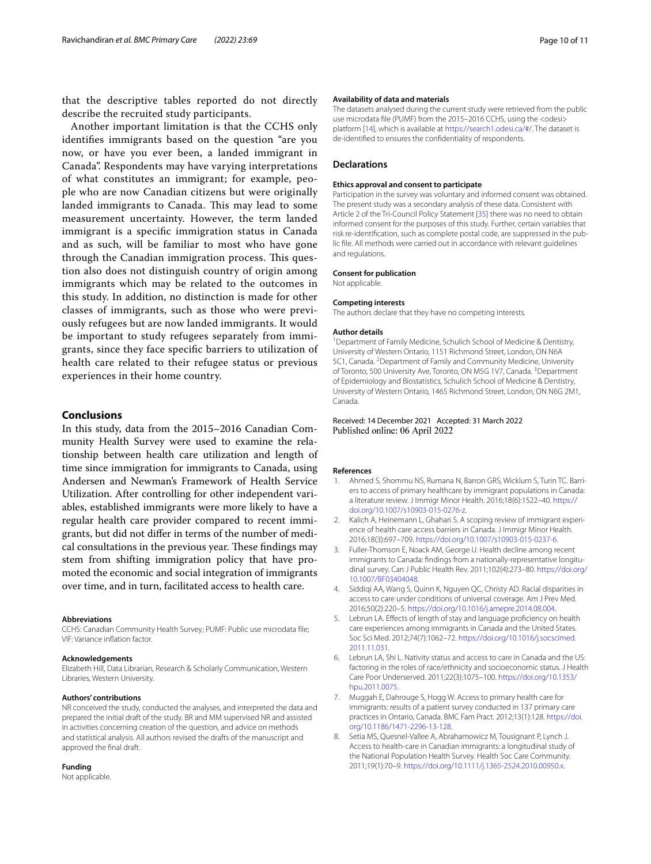that the descriptive tables reported do not directly describe the recruited study participants.

Another important limitation is that the CCHS only identifes immigrants based on the question "are you now, or have you ever been, a landed immigrant in Canada". Respondents may have varying interpretations of what constitutes an immigrant; for example, people who are now Canadian citizens but were originally landed immigrants to Canada. This may lead to some measurement uncertainty. However, the term landed immigrant is a specifc immigration status in Canada and as such, will be familiar to most who have gone through the Canadian immigration process. This question also does not distinguish country of origin among immigrants which may be related to the outcomes in this study. In addition, no distinction is made for other classes of immigrants, such as those who were previously refugees but are now landed immigrants. It would be important to study refugees separately from immigrants, since they face specifc barriers to utilization of health care related to their refugee status or previous experiences in their home country.

## **Conclusions**

In this study, data from the 2015–2016 Canadian Community Health Survey were used to examine the relationship between health care utilization and length of time since immigration for immigrants to Canada, using Andersen and Newman's Framework of Health Service Utilization. After controlling for other independent variables, established immigrants were more likely to have a regular health care provider compared to recent immigrants, but did not difer in terms of the number of medical consultations in the previous year. These findings may stem from shifting immigration policy that have promoted the economic and social integration of immigrants over time, and in turn, facilitated access to health care.

#### **Abbreviations**

CCHS: Canadian Community Health Survey; PUMF: Public use microdata fle; VIF: Variance infation factor.

#### **Acknowledgements**

Elizabeth Hill, Data Librarian, Research & Scholarly Communication, Western Libraries, Western University.

#### **Authors' contributions**

NR conceived the study, conducted the analyses, and interpreted the data and prepared the initial draft of the study. BR and MM supervised NR and assisted in activities concerning creation of the question, and advice on methods and statistical analysis. All authors revised the drafts of the manuscript and approved the fnal draft.

#### **Funding**

Not applicable.

#### **Availability of data and materials**

The datasets analysed during the current study were retrieved from the public use microdata file (PUMF) from the 2015-2016 CCHS, using the <odesi> platform [\[14](#page-10-4)], which is available at [https://search1.odesi.ca/#/.](https://search1.odesi.ca/#/) The dataset is de-identifed to ensures the confdentiality of respondents.

#### **Declarations**

#### **Ethics approval and consent to participate**

Participation in the survey was voluntary and informed consent was obtained. The present study was a secondary analysis of these data. Consistent with Article 2 of the Tri-Council Policy Statement [[35\]](#page-10-25) there was no need to obtain informed consent for the purposes of this study. Further, certain variables that risk re-identifcation, such as complete postal code, are suppressed in the public fle. All methods were carried out in accordance with relevant guidelines and regulations.

#### **Consent for publication**

Not applicable.

#### **Competing interests**

The authors declare that they have no competing interests.

#### **Author details**

<sup>1</sup> Department of Family Medicine, Schulich School of Medicine & Dentistry, University of Western Ontario, 1151 Richmond Street, London, ON N6A 5C1, Canada. <sup>2</sup> Department of Family and Community Medicine, University of Toronto, 500 University Ave, Toronto, ON M5G 1V7, Canada. <sup>3</sup> Department of Epidemiology and Biostatistics, Schulich School of Medicine & Dentistry, University of Western Ontario, 1465 Richmond Street, London, ON N6G 2M1, Canada.

#### Received: 14 December 2021 Accepted: 31 March 2022 Published online: 06 April 2022

#### **References**

- <span id="page-9-0"></span>1. Ahmed S, Shommu NS, Rumana N, Barron GRS, Wicklum S, Turin TC. Barriers to access of primary healthcare by immigrant populations in Canada: a literature review. J Immigr Minor Health. 2016;18(6):1522–40. [https://](https://doi.org/10.1007/s10903-015-0276-z) [doi.org/10.1007/s10903-015-0276-z.](https://doi.org/10.1007/s10903-015-0276-z)
- <span id="page-9-2"></span>2. Kalich A, Heinemann L, Ghahari S. A scoping review of immigrant experience of health care access barriers in Canada. J Immigr Minor Health. 2016;18(3):697–709. [https://doi.org/10.1007/s10903-015-0237-6.](https://doi.org/10.1007/s10903-015-0237-6)
- <span id="page-9-1"></span>3. Fuller-Thomson E, Noack AM, George U. Health decline among recent immigrants to Canada: fndings from a nationally-representative longitudinal survey. Can J Public Health Rev. 2011;102(4):273–80. [https://doi.org/](https://doi.org/10.1007/BF03404048) [10.1007/BF03404048](https://doi.org/10.1007/BF03404048).
- <span id="page-9-3"></span>4. Siddiqi AA, Wang S, Quinn K, Nguyen QC, Christy AD. Racial disparities in access to care under conditions of universal coverage. Am J Prev Med. 2016;50(2):220–5. [https://doi.org/10.1016/j.amepre.2014.08.004.](https://doi.org/10.1016/j.amepre.2014.08.004)
- <span id="page-9-4"></span>5. Lebrun LA. Efects of length of stay and language profciency on health care experiences among immigrants in Canada and the United States. Soc Sci Med. 2012;74(7):1062–72. [https://doi.org/10.1016/j.socscimed.](https://doi.org/10.1016/j.socscimed.2011.11.031) [2011.11.031](https://doi.org/10.1016/j.socscimed.2011.11.031).
- <span id="page-9-5"></span>6. Lebrun LA, Shi L. Nativity status and access to care in Canada and the US: factoring in the roles of race/ethnicity and socioeconomic status. J Health Care Poor Underserved. 2011;22(3):1075–100. [https://doi.org/10.1353/](https://doi.org/10.1353/hpu.2011.0075) [hpu.2011.0075.](https://doi.org/10.1353/hpu.2011.0075)
- <span id="page-9-6"></span>7. Muggah E, Dahrouge S, Hogg W. Access to primary health care for immigrants: results of a patient survey conducted in 137 primary care practices in Ontario, Canada. BMC Fam Pract. 2012;13(1):128. [https://doi.](https://doi.org/10.1186/1471-2296-13-128) [org/10.1186/1471-2296-13-128.](https://doi.org/10.1186/1471-2296-13-128)
- <span id="page-9-7"></span>8. Setia MS, Quesnel-Vallee A, Abrahamowicz M, Tousignant P, Lynch J. Access to health-care in Canadian immigrants: a longitudinal study of the National Population Health Survey. Health Soc Care Community. 2011;19(1):70–9. [https://doi.org/10.1111/j.1365-2524.2010.00950.x.](https://doi.org/10.1111/j.1365-2524.2010.00950.x)